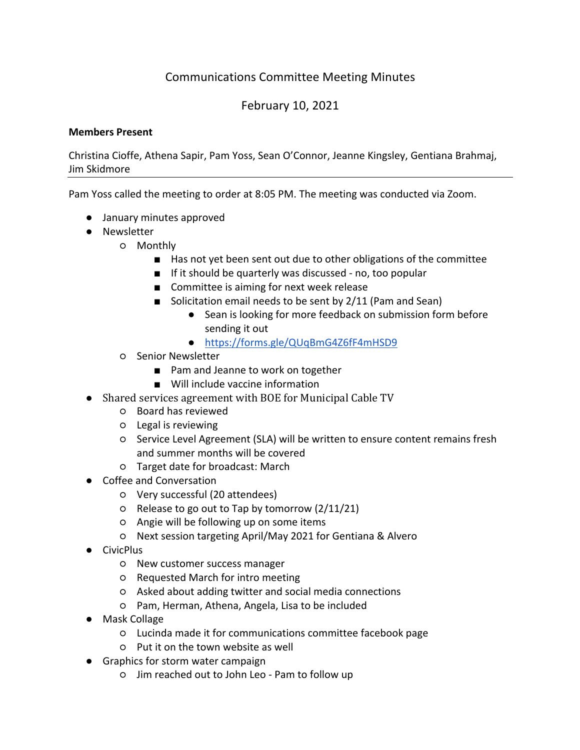## Communications Committee Meeting Minutes

## February 10, 2021

## **Members Present**

Christina Cioffe, Athena Sapir, Pam Yoss, Sean O'Connor, Jeanne Kingsley, Gentiana Brahmaj, Jim Skidmore

Pam Yoss called the meeting to order at 8:05 PM. The meeting was conducted via Zoom.

- January minutes approved
- Newsletter
	- Monthly
		- Has not yet been sent out due to other obligations of the committee
		- If it should be quarterly was discussed no, too popular
		- Committee is aiming for next week release
		- Solicitation email needs to be sent by 2/11 (Pam and Sean)
			- Sean is looking for more feedback on submission form before sending it out
			- https://forms.gle/QUqBmG4Z6fF4mHSD9
		- Senior Newsletter
			- Pam and Jeanne to work on together
			- Will include vaccine information
- Shared services agreement with BOE for Municipal Cable TV
	- Board has reviewed
	- Legal is reviewing
	- Service Level Agreement (SLA) will be written to ensure content remains fresh and summer months will be covered
	- Target date for broadcast: March
- Coffee and Conversation
	- Very successful (20 attendees)
	- Release to go out to Tap by tomorrow (2/11/21)
	- Angie will be following up on some items
	- Next session targeting April/May 2021 for Gentiana & Alvero
- CivicPlus
	- New customer success manager
	- Requested March for intro meeting
	- Asked about adding twitter and social media connections
	- Pam, Herman, Athena, Angela, Lisa to be included
- Mask Collage
	- Lucinda made it for communications committee facebook page
	- Put it on the town website as well
- Graphics for storm water campaign
	- Jim reached out to John Leo Pam to follow up